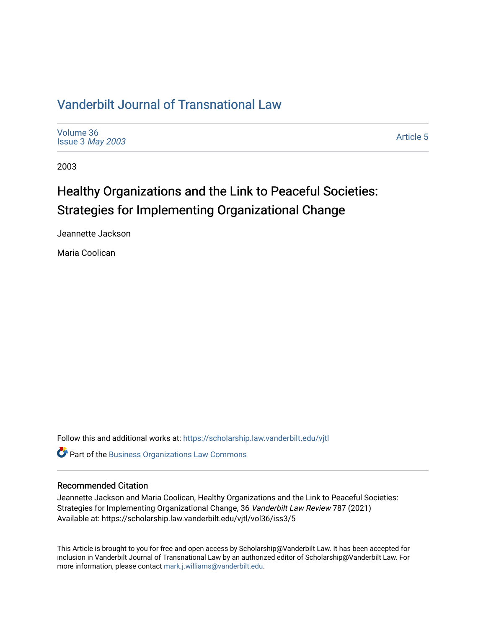# [Vanderbilt Journal of Transnational Law](https://scholarship.law.vanderbilt.edu/vjtl)

[Volume 36](https://scholarship.law.vanderbilt.edu/vjtl/vol36) Issue 3 [May 2003](https://scholarship.law.vanderbilt.edu/vjtl/vol36/iss3) 

[Article 5](https://scholarship.law.vanderbilt.edu/vjtl/vol36/iss3/5) 

2003

# Healthy Organizations and the Link to Peaceful Societies: Strategies for Implementing Organizational Change

Jeannette Jackson

Maria Coolican

Follow this and additional works at: [https://scholarship.law.vanderbilt.edu/vjtl](https://scholarship.law.vanderbilt.edu/vjtl?utm_source=scholarship.law.vanderbilt.edu%2Fvjtl%2Fvol36%2Fiss3%2F5&utm_medium=PDF&utm_campaign=PDFCoverPages) 

Part of the [Business Organizations Law Commons](http://network.bepress.com/hgg/discipline/900?utm_source=scholarship.law.vanderbilt.edu%2Fvjtl%2Fvol36%2Fiss3%2F5&utm_medium=PDF&utm_campaign=PDFCoverPages)

## Recommended Citation

Jeannette Jackson and Maria Coolican, Healthy Organizations and the Link to Peaceful Societies: Strategies for Implementing Organizational Change, 36 Vanderbilt Law Review 787 (2021) Available at: https://scholarship.law.vanderbilt.edu/vjtl/vol36/iss3/5

This Article is brought to you for free and open access by Scholarship@Vanderbilt Law. It has been accepted for inclusion in Vanderbilt Journal of Transnational Law by an authorized editor of Scholarship@Vanderbilt Law. For more information, please contact [mark.j.williams@vanderbilt.edu](mailto:mark.j.williams@vanderbilt.edu).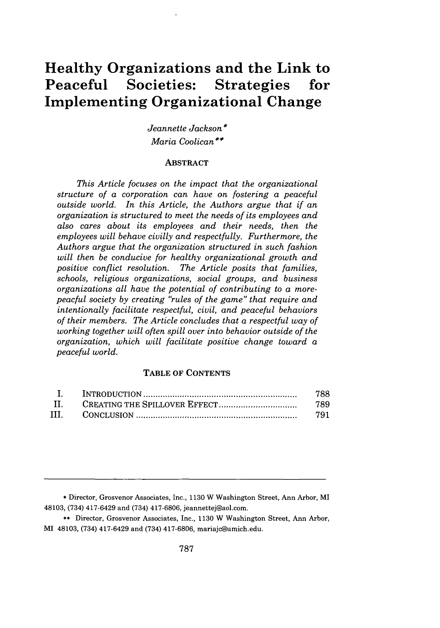# **Healthy Organizations and the Link to Peaceful Societies: Strategies for Implementing Organizational Change**

*Jeannette Jackson\* Maria Coolican\**

#### ABSTRACT

*This Article focuses on the impact that the organizational structure of a corporation can have on fostering a peaceful outside world. In this Article, the Authors argue that if an organization is structured to meet the needs of its employees and also cares about its employees and their needs, then the employees will behave civilly and respectfully. Furthermore, the Authors argue that the organization structured in such fashion will then be conducive for healthy organizational growth and positive conflict resolution. The Article posits that families, schools, religious organizations, social groups, and business organizations all have the potential of contributing to a morepeacful society by creating "rules of the game" that require and intentionally facilitate respectful, civil, and peaceful behaviors of their members. The Article concludes that a respectful way of working together will often spill over into behavior outside of the organization, which will facilitate positive change toward a peaceful world.*

### TABLE OF **CONTENTS**

|     | 788  |
|-----|------|
|     | -789 |
| TH. | 791  |

**<sup>\*</sup>** Director, Grosvenor Associates, Inc., **1130** W Washington Street, Ann Arbor, MI 48103, (734) 417-6429 and (734) **417-6806,** jeannettej@aol.com.

**<sup>\*\*</sup>** Director, Grosvenor Associates, Inc., **1130** W Washington Street, Ann Arbor, MI 48103, (734) 417-6429 and (734) **417-6806,** mariajc@umich.edu.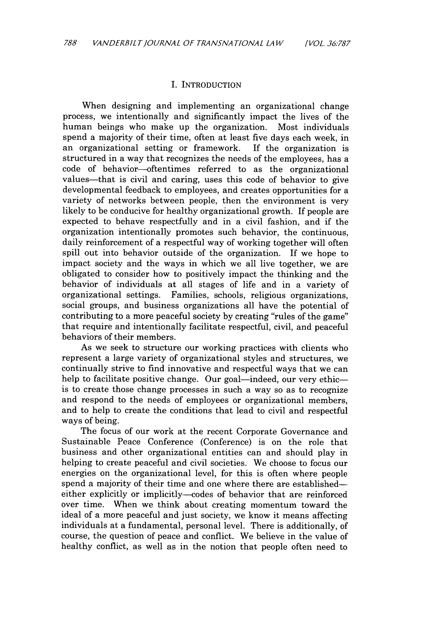#### I. INTRODUCTION

When designing and implementing an organizational change process, we intentionally and significantly impact the lives of the human beings who make up the organization. Most individuals spend a majority of their time, often at least five days each week, in an organizational setting or framework. If the organization is structured in a way that recognizes the needs of the employees, has a code of behavior-oftentimes referred to as the organizational values—that is civil and caring, uses this code of behavior to give developmental feedback to employees, and creates opportunities for a variety of networks between people, then the environment is very likely to be conducive for healthy organizational growth. If people are expected to behave respectfully and in a civil fashion, and if the organization intentionally promotes such behavior, the continuous, daily reinforcement of a respectful way of working together will often spill out into behavior outside of the organization. If we hope to impact society and the ways in which we all live together, we are obligated to consider how to positively impact the thinking and the behavior of individuals at all stages of life and in a variety of organizational settings. Families, schools, religious organizations, social groups, and business organizations all have the potential of contributing to a more peaceful society by creating "rules of the game" that require and intentionally facilitate respectful, civil, and peaceful behaviors of their members.

As we seek to structure our working practices with clients who represent a large variety of organizational styles and structures, we continually strive to find innovative and respectful ways that we can help to facilitate positive change. Our goal—indeed, our very ethicis to create those change processes in such a way so as to recognize and respond to the needs of employees or organizational members, and to help to create the conditions that lead to civil and respectful ways of being.

The focus of our work at the recent Corporate Governance and Sustainable Peace Conference (Conference) is on the role that business and other organizational entities can and should play in helping to create peaceful and civil societies. We choose to focus our energies on the organizational level, for this is often where people spend a majority of their time and one where there are established either explicitly or implicitly-codes of behavior that are reinforced over time. When we think about creating momentum toward the ideal of a more peaceful and just society, we know it means affecting individuals at a fundamental, personal level. There is additionally, of course, the question of peace and conflict. We believe in the value of healthy conflict, as well as in the notion that people often need to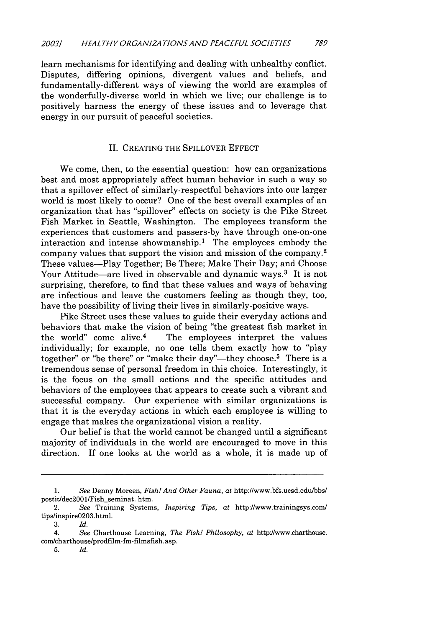learn mechanisms for identifying and dealing with unhealthy conflict. Disputes, differing opinions, divergent values and beliefs, and fundamentally-different ways of viewing the world are examples of the wonderfully-diverse world in which we live; our challenge is to positively harness the energy of these issues and to leverage that energy in our pursuit of peaceful societies.

#### II. CREATING THE SPILLOVER EFFECT

We come, then, to the essential question: how can organizations best and most appropriately affect human behavior in such a way so that a spillover effect of similarly-respectful behaviors into our larger world is most likely to occur? One of the best overall examples of an organization that has "spillover" effects on society is the Pike Street Fish Market in Seattle, Washington. The employees transform the experiences that customers and passers-by have through one-on-one interaction and intense showmanship.<sup>1</sup> The employees embody the company values that support the vision and mission of the company. <sup>2</sup> These values-Play Together; Be There; Make Their Day; and Choose Your Attitude-are lived in observable and dynamic ways.<sup>3</sup> It is not surprising, therefore, to find that these values and ways of behaving are infectious and leave the customers feeling as though they, too, have the possibility of living their lives in similarly-positive ways.

Pike Street uses these values to guide their everyday actions and behaviors that make the vision of being "the greatest fish market in the world" come alive. $4$  The employees interpret the values individually; for example, no one tells them exactly how to "play together" or "be there" or "make their day"-they choose.<sup>5</sup> There is a tremendous sense of personal freedom in this choice. Interestingly, it is the focus on the small actions and the specific attitudes and behaviors of the employees that appears to create such a vibrant and successful company. Our experience with similar organizations is that it is the everyday actions in which each employee is willing to engage that makes the organizational vision a reality.

Our belief is that the world cannot be changed until a significant majority of individuals in the world are encouraged to move in this direction. If one looks at the world as a whole, it is made up of

<sup>1.</sup> *See* Denny Moreen, *Fish! And Other Fauna, at* http://www.bfs.ucsd.edulbbs/ postit/dec2001/Fish\_seminat. htm.

<sup>2.</sup> *See* Training Systems, *Inspiring Tips, at* http://www.trainingsys.com/ tips/inspire0203.html.

<sup>3.</sup> *Id.*

<sup>4.</sup> *See* Charthouse Learning, *The Fish! Philosophy, at* httpJ/www.charthouse. com/charthouse/prodfilm-fm-filmsfish.asp.

<sup>5.</sup> *Id.*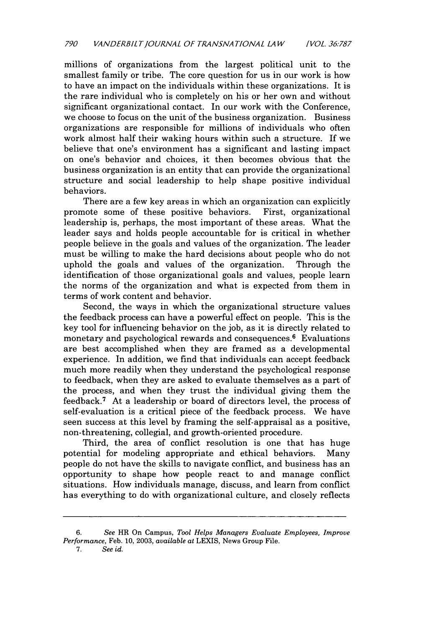millions of organizations from the largest political unit to the smallest family or tribe. The core question for us in our work is how to have an impact on the individuals within these organizations. It is the rare individual who is completely on his or her own and without significant organizational contact. In our work with the Conference, we choose to focus on the unit of the business organization. Business organizations are responsible for millions of individuals who often work almost half their waking hours within such a structure. If we believe that one's environment has a significant and lasting impact on one's behavior and choices, it then becomes obvious that the business organization is an entity that can provide the organizational structure and social leadership to help shape positive individual behaviors.

There are a few key areas in which an organization can explicitly promote some of these positive behaviors. First, organizational leadership is, perhaps, the most important of these areas. What the leader says and holds people accountable for is critical in whether people believe in the goals and values of the organization. The leader must be willing to make the hard decisions about people who do not uphold the goals and values of the organization. Through the identification of those organizational goals and values, people learn the norms of the organization and what is expected from them in terms of work content and behavior.

Second, the ways in which the organizational structure values the feedback process can have a powerful effect on people. This is the key tool for influencing behavior on the job, as it is directly related to monetary and psychological rewards and consequences.<sup>6</sup> Evaluations are best accomplished when they are framed as a developmental experience. In addition, we find that individuals can accept feedback much more readily when they understand the psychological response to feedback, when they are asked to evaluate themselves as a part of the process, and when they trust the individual giving them the feedback. 7 At a leadership or board of directors level, the process of self-evaluation is a critical piece of the feedback process. We have seen success at this level by framing the self-appraisal as a positive, non-threatening, collegial, and growth-oriented procedure.

Third, the area of conflict resolution is one that has huge potential for modeling appropriate and ethical behaviors. Many people do not have the skills to navigate conflict, and business has an opportunity to shape how people react to and manage conflict situations. How individuals manage, discuss, and learn from conflict has everything to do with organizational culture, and closely reflects

*7. See id.*

<sup>6.</sup> *See* HR On Campus, *Tool Helps Managers Evaluate Employees, Improve Performance,* Feb. 10, 2003, *available* at LEXIS, News Group File.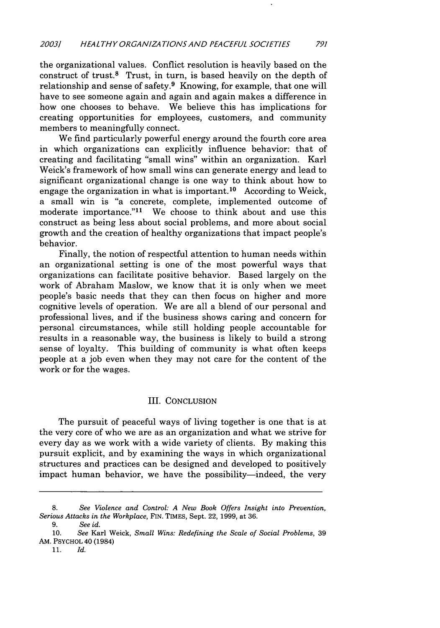the organizational values. Conflict resolution is heavily based on the construct of trust. $8$  Trust, in turn, is based heavily on the depth of relationship and sense of safety.<sup>9</sup> Knowing, for example, that one will have to see someone again and again and again makes a difference in how one chooses to behave. We believe this has implications for creating opportunities for employees, customers, and community members to meaningfully connect.

We find particularly powerful energy around the fourth core area in which organizations can explicitly influence behavior: that of creating and facilitating "small wins" within an organization. Karl Weick's framework of how small wins can generate energy and lead to significant organizational change is one way to think about how to engage the organization in what is important.<sup>10</sup> According to Weick, a small win is "a concrete, complete, implemented outcome of moderate importance." $11$  We choose to think about and use this construct as being less about social problems, and more about social growth and the creation of healthy organizations that impact people's behavior.

Finally, the notion of respectful attention to human needs within an organizational setting is one of the most powerful ways that organizations can facilitate positive behavior. Based largely on the work of Abraham Maslow, we know that it is only when we meet people's basic needs that they can then focus on higher and more cognitive levels of operation. We are all a blend of our personal and professional lives, and if the business shows caring and concern for personal circumstances, while still holding people accountable for results in a reasonable way, the business is likely to build a strong sense of loyalty. This building of community is what often keeps people at a job even when they may not care for the content of the work or for the wages.

#### III. CONCLUSION

The pursuit of peaceful ways of living together is one that is at the very core of who we are as an organization and what we strive for every day as we work with a wide variety of clients. By making this pursuit explicit, and by examining the ways in which organizational structures and practices can be designed and developed to positively impact human behavior, we have the possibility—indeed, the very

**<sup>8.</sup>** *See Violence and Control: A New Book Offers Insight into Prevention, Serious Attacks in the Workplace,* FIN. TIMES, Sept. 22, 1999, at 36.

**<sup>9.</sup>** See *id.*

<sup>10.</sup> See Karl Weick, *Small Wins: Redefining* the Scale of *Social* Problems, 39 AM. PSYCHOL 40 (1984)

<sup>11.</sup> *Id.*